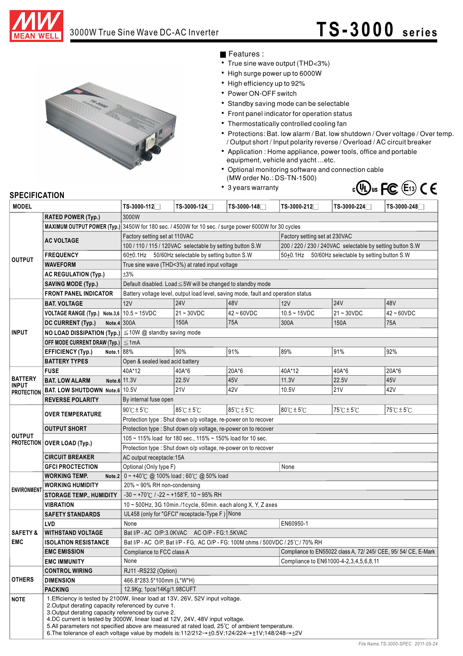

## 3000W True Sine Wave DC-AC Inverter **TS-3000** series



Features :

- True sine wave output (THD<3%)
- High surge power up to 6000W
- High efficiency up to 92%
- Power ON-OFF switch
- Standby saving mode can be selectable
- Front panel indicator for operation status
- Thermostatically controlled cooling fan
- $\bullet$ Protections: Bat. low alarm / Bat. low shutdown / Over voltage / Over temp. / Output short / Input polarity reverse / Overload / AC circuit breaker
- Application : Home appliance, power tools, office and portable equipment, vehicle and yacht ...etc.
- Optional monitoring software and connection cable (MW order No.: DS-TN-1500)
- 3 years warranty



## **SPECIFICATION**

| <b>MODEL</b>                                        |                                                                                                                                                                                                                                                                                                                                                                                                                                                                                                                                | TS-3000-112□                                                                                                                       | TS-3000-124□                                                                                         | TS-3000-148  | TS-3000-212                                               | TS-3000-224                                                     | TS-3000-248□                        |  |
|-----------------------------------------------------|--------------------------------------------------------------------------------------------------------------------------------------------------------------------------------------------------------------------------------------------------------------------------------------------------------------------------------------------------------------------------------------------------------------------------------------------------------------------------------------------------------------------------------|------------------------------------------------------------------------------------------------------------------------------------|------------------------------------------------------------------------------------------------------|--------------|-----------------------------------------------------------|-----------------------------------------------------------------|-------------------------------------|--|
|                                                     | <b>RATED POWER (Typ.)</b>                                                                                                                                                                                                                                                                                                                                                                                                                                                                                                      | 3000W                                                                                                                              |                                                                                                      |              |                                                           |                                                                 |                                     |  |
| <b>OUTPUT</b>                                       |                                                                                                                                                                                                                                                                                                                                                                                                                                                                                                                                |                                                                                                                                    | MAXIMUM OUTPUT POWER (Typ.) 3450W for 180 sec. / 4500W for 10 sec. / surge power 6000W for 30 cycles |              |                                                           |                                                                 |                                     |  |
|                                                     |                                                                                                                                                                                                                                                                                                                                                                                                                                                                                                                                | Factory setting set at 110VAC<br>Factory setting set at 230VAC                                                                     |                                                                                                      |              |                                                           |                                                                 |                                     |  |
|                                                     | <b>AC VOLTAGE</b>                                                                                                                                                                                                                                                                                                                                                                                                                                                                                                              | 100 / 110 / 115 / 120VAC selectable by setting button S.W                                                                          |                                                                                                      |              | 200 / 220 / 230 / 240VAC selectable by setting button S.W |                                                                 |                                     |  |
|                                                     | <b>FREQUENCY</b>                                                                                                                                                                                                                                                                                                                                                                                                                                                                                                               | 60±0.1Hz 50/60Hz selectable by setting button S.W<br>50±0.1Hz 50/60Hz selectable by setting button S.W                             |                                                                                                      |              |                                                           |                                                                 |                                     |  |
|                                                     | <b>WAVEFORM</b>                                                                                                                                                                                                                                                                                                                                                                                                                                                                                                                | True sine wave (THD<3%) at rated input voltage                                                                                     |                                                                                                      |              |                                                           |                                                                 |                                     |  |
|                                                     | <b>AC REGULATION (Typ.)</b>                                                                                                                                                                                                                                                                                                                                                                                                                                                                                                    | ±3%                                                                                                                                |                                                                                                      |              |                                                           |                                                                 |                                     |  |
|                                                     | <b>SAVING MODE (Typ.)</b>                                                                                                                                                                                                                                                                                                                                                                                                                                                                                                      | Default disabled. Load ≤5W will be changed to standby mode                                                                         |                                                                                                      |              |                                                           |                                                                 |                                     |  |
|                                                     | <b>FRONT PANEL INDICATOR</b>                                                                                                                                                                                                                                                                                                                                                                                                                                                                                                   | Battery voltage level, output load level, saving mode, fault and operation status                                                  |                                                                                                      |              |                                                           |                                                                 |                                     |  |
| <b>INPUT</b>                                        | <b>BAT. VOLTAGE</b>                                                                                                                                                                                                                                                                                                                                                                                                                                                                                                            | 12V                                                                                                                                | <b>24V</b>                                                                                           | 48V          | 12V                                                       | <b>24V</b>                                                      | 48V                                 |  |
|                                                     | VOLTAGE RANGE (Typ.) Note.3,6 $10.5 \sim 15$ VDC                                                                                                                                                                                                                                                                                                                                                                                                                                                                               |                                                                                                                                    | $21 - 30VDC$                                                                                         | $42 - 60VDC$ | $10.5 - 15VDC$                                            | $21 - 30VDC$                                                    | $42 - 60VDC$                        |  |
|                                                     | Note.4 $300A$<br>DC CURRENT (Typ.)                                                                                                                                                                                                                                                                                                                                                                                                                                                                                             |                                                                                                                                    | 150A                                                                                                 | 75A          | 300A                                                      | 150A                                                            | 75A                                 |  |
|                                                     |                                                                                                                                                                                                                                                                                                                                                                                                                                                                                                                                | NO LOAD DISSIPATION (Typ.) $ \leq$ 10W @ standby saving mode                                                                       |                                                                                                      |              |                                                           |                                                                 |                                     |  |
|                                                     | OFF MODE CURRENT DRAW (Typ.) $\leq 1$ mA                                                                                                                                                                                                                                                                                                                                                                                                                                                                                       |                                                                                                                                    |                                                                                                      |              |                                                           |                                                                 |                                     |  |
|                                                     | Note.1 88%<br><b>EFFICIENCY (Typ.)</b>                                                                                                                                                                                                                                                                                                                                                                                                                                                                                         |                                                                                                                                    | 90%                                                                                                  | 91%          | 89%                                                       | 91%                                                             | 92%                                 |  |
|                                                     | <b>BATTERY TYPES</b>                                                                                                                                                                                                                                                                                                                                                                                                                                                                                                           | Open & sealed lead acid battery                                                                                                    |                                                                                                      |              |                                                           |                                                                 |                                     |  |
|                                                     | <b>FUSE</b>                                                                                                                                                                                                                                                                                                                                                                                                                                                                                                                    | 40A*12                                                                                                                             | 40A*6                                                                                                | 20A*6        | 40A*12                                                    | 40A*6                                                           | 20A*6                               |  |
| <b>BATTERY</b><br><b>INPUT</b><br><b>PROTECTION</b> | <b>BAT. LOW ALARM</b>                                                                                                                                                                                                                                                                                                                                                                                                                                                                                                          | Note.6 11.3V                                                                                                                       | 22.5V                                                                                                | 45V          | 11.3V                                                     | 22.5V                                                           | 45V                                 |  |
|                                                     | BAT. LOW SHUTDOWN Note.6 10.5V                                                                                                                                                                                                                                                                                                                                                                                                                                                                                                 |                                                                                                                                    | 21V                                                                                                  | 42V          | 10.5V                                                     | <b>21V</b>                                                      | 42V                                 |  |
|                                                     | <b>REVERSE POLARITY</b>                                                                                                                                                                                                                                                                                                                                                                                                                                                                                                        | By internal fuse open                                                                                                              |                                                                                                      |              |                                                           |                                                                 |                                     |  |
| <b>OUTPUT</b>                                       | <b>OVER TEMPERATURE</b>                                                                                                                                                                                                                                                                                                                                                                                                                                                                                                        | $90^{\circ}$ C $\pm$ 5 $^{\circ}$ C                                                                                                | $85^{\circ}$ C $\pm$ 5 $^{\circ}$ C                                                                  | 85°C±5°C     | $80^{\circ}$ C $\pm$ 5 $^{\circ}$ C                       | $75^{\circ}$ C $\pm$ 5 $^{\circ}$ C                             | $75^{\circ}$ C $\pm$ 5 $^{\circ}$ C |  |
|                                                     |                                                                                                                                                                                                                                                                                                                                                                                                                                                                                                                                |                                                                                                                                    |                                                                                                      |              |                                                           |                                                                 |                                     |  |
|                                                     | <b>OUTPUT SHORT</b>                                                                                                                                                                                                                                                                                                                                                                                                                                                                                                            | Protection type : Shut down o/p voltage, re-power on to recover<br>Protection type : Shut down o/p voltage, re-power on to recover |                                                                                                      |              |                                                           |                                                                 |                                     |  |
|                                                     |                                                                                                                                                                                                                                                                                                                                                                                                                                                                                                                                | 105 ~ 115% load for 180 sec., 115% ~ 150% load for 10 sec.                                                                         |                                                                                                      |              |                                                           |                                                                 |                                     |  |
|                                                     | <b>PROTECTION OVER LOAD (Typ.)</b>                                                                                                                                                                                                                                                                                                                                                                                                                                                                                             | Protection type : Shut down o/p voltage, re-power on to recover                                                                    |                                                                                                      |              |                                                           |                                                                 |                                     |  |
|                                                     | <b>CIRCUIT BREAKER</b>                                                                                                                                                                                                                                                                                                                                                                                                                                                                                                         | AC output receptacle:15A                                                                                                           |                                                                                                      |              |                                                           |                                                                 |                                     |  |
|                                                     | <b>GFCI PROCTECTION</b>                                                                                                                                                                                                                                                                                                                                                                                                                                                                                                        | Optional (Only type F)                                                                                                             |                                                                                                      |              | None                                                      |                                                                 |                                     |  |
| <b>ENVIRONMEN</b>                                   | <b>WORKING TEMP.</b>                                                                                                                                                                                                                                                                                                                                                                                                                                                                                                           | Note.2 0 ~ +40℃ @ 100% load; 60℃ @ 50% load                                                                                        |                                                                                                      |              |                                                           |                                                                 |                                     |  |
|                                                     | <b>WORKING HUMIDITY</b>                                                                                                                                                                                                                                                                                                                                                                                                                                                                                                        | 20% ~ 90% RH non-condensing                                                                                                        |                                                                                                      |              |                                                           |                                                                 |                                     |  |
|                                                     | <b>STORAGE TEMP., HUMIDITY</b>                                                                                                                                                                                                                                                                                                                                                                                                                                                                                                 | $-30 \sim +70^{\circ}$ C / $-22 \sim +158^{\circ}$ F, 10 ~ 95% RH                                                                  |                                                                                                      |              |                                                           |                                                                 |                                     |  |
|                                                     | <b>VIBRATION</b>                                                                                                                                                                                                                                                                                                                                                                                                                                                                                                               | 10 ~ 500Hz, 3G 10min./1cycle, 60min. each along X, Y, Z axes                                                                       |                                                                                                      |              |                                                           |                                                                 |                                     |  |
| <b>SAFETY &amp;</b><br><b>EMC</b>                   | <b>SAFETY STANDARDS</b>                                                                                                                                                                                                                                                                                                                                                                                                                                                                                                        | UL458 (only for "GFCI" receptacle-Type F) None                                                                                     |                                                                                                      |              |                                                           |                                                                 |                                     |  |
|                                                     | LVD                                                                                                                                                                                                                                                                                                                                                                                                                                                                                                                            | None                                                                                                                               |                                                                                                      |              | EN60950-1                                                 |                                                                 |                                     |  |
|                                                     | <b>WITHSTAND VOLTAGE</b>                                                                                                                                                                                                                                                                                                                                                                                                                                                                                                       | Bat I/P - AC O/P:3.0KVAC AC O/P - FG:1.5KVAC                                                                                       |                                                                                                      |              |                                                           |                                                                 |                                     |  |
|                                                     | <b>ISOLATION RESISTANCE</b>                                                                                                                                                                                                                                                                                                                                                                                                                                                                                                    | Bat I/P - AC O/P, Bat I/P - FG, AC O/P - FG: 100M ohms / 500VDC / 25℃/70% RH                                                       |                                                                                                      |              |                                                           |                                                                 |                                     |  |
|                                                     | <b>EMC EMISSION</b>                                                                                                                                                                                                                                                                                                                                                                                                                                                                                                            |                                                                                                                                    | Compliance to FCC class A                                                                            |              |                                                           | Compliance to EN55022 class A, 72/ 245/ CEE, 95/ 54/ CE, E-Mark |                                     |  |
|                                                     | <b>EMC IMMUNITY</b>                                                                                                                                                                                                                                                                                                                                                                                                                                                                                                            | None                                                                                                                               |                                                                                                      |              | Compliance to EN61000-4-2.3.4.5.6.8.11                    |                                                                 |                                     |  |
| <b>OTHERS</b>                                       | <b>CONTROL WIRING</b>                                                                                                                                                                                                                                                                                                                                                                                                                                                                                                          | RJ11 - RS232 (Option)                                                                                                              |                                                                                                      |              |                                                           |                                                                 |                                     |  |
|                                                     | <b>DIMENSION</b>                                                                                                                                                                                                                                                                                                                                                                                                                                                                                                               | 466.8*283.5*100mm (L*W*H)                                                                                                          |                                                                                                      |              |                                                           |                                                                 |                                     |  |
|                                                     | <b>PACKING</b>                                                                                                                                                                                                                                                                                                                                                                                                                                                                                                                 | 12.9Kg; 1pcs/14Kg/1.98CUFT                                                                                                         |                                                                                                      |              |                                                           |                                                                 |                                     |  |
| <b>NOTE</b>                                         | 1. Efficiency is tested by 2100W, linear load at 13V, 26V, 52V input voltage.<br>2. Output derating capacity referenced by curve 1.<br>3. Output derating capacity referenced by curve 2.<br>4.DC current is tested by 3000W, linear load at 12V, 24V, 48V input voltage.<br>5.All parameters not specified above are measured at rated load, 25°C of ambient temperature.<br>6. The tolerance of each voltage value by models is:112/212 $\rightarrow \pm 0.5V$ ; 124/224 $\rightarrow \pm 1V$ ; 148/248 $\rightarrow \pm 2V$ |                                                                                                                                    |                                                                                                      |              |                                                           |                                                                 |                                     |  |